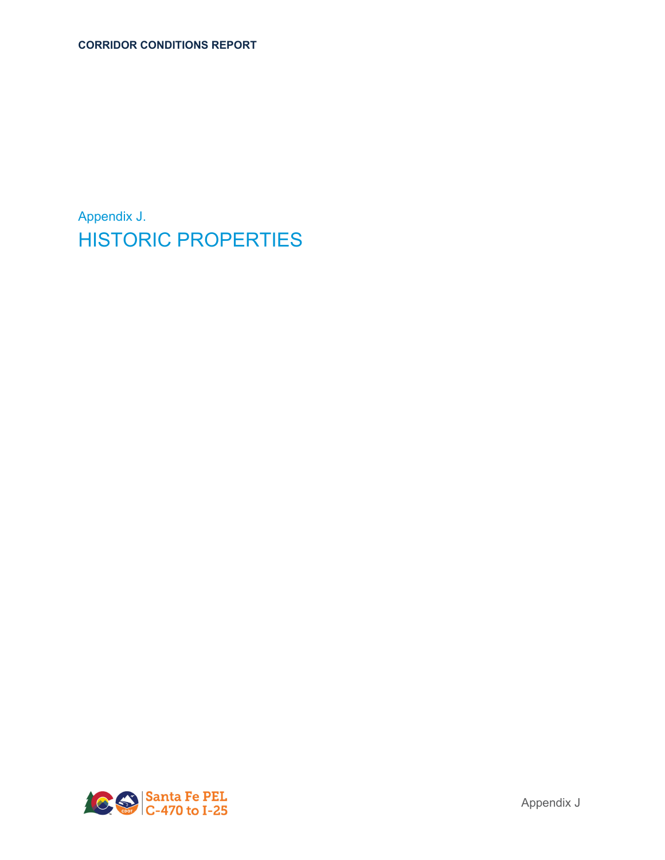Appendix J. HISTORIC PROPERTIES

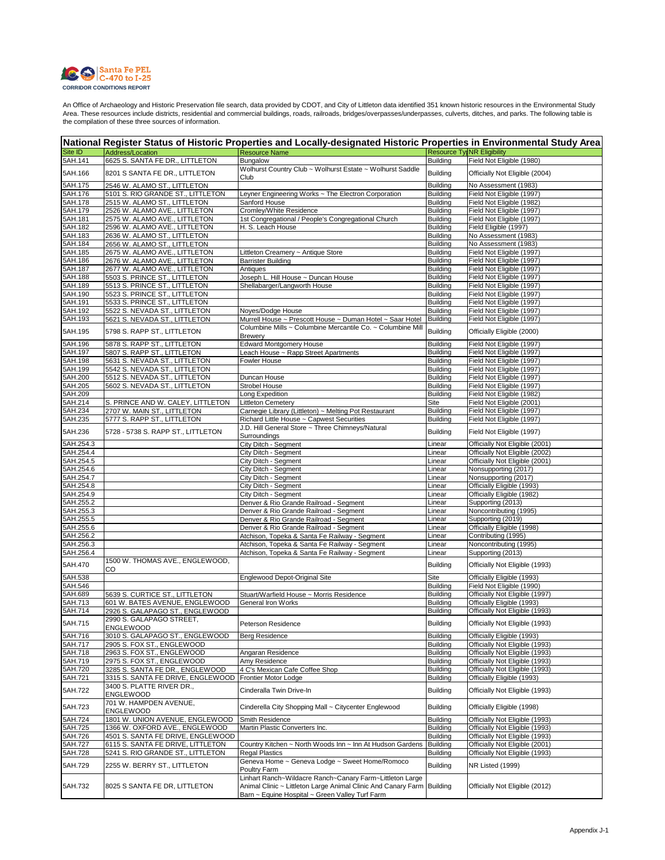

| National Register Status of Historic Properties and Locally-designated Historic Properties in Environmental Study Area |                                               |                                                                                                                                                                                       |                           |                                             |  |
|------------------------------------------------------------------------------------------------------------------------|-----------------------------------------------|---------------------------------------------------------------------------------------------------------------------------------------------------------------------------------------|---------------------------|---------------------------------------------|--|
| Site ID                                                                                                                | Address/Location                              | <b>Resource Name</b>                                                                                                                                                                  |                           | <b>Resource Tyl NR Eligibility</b>          |  |
| 5AH.141                                                                                                                | 6625 S. SANTA FE DR., LITTLETON               | Bungalow                                                                                                                                                                              | <b>Building</b>           | Field Not Eligible (1980)                   |  |
| 5AH.166                                                                                                                | 8201 S SANTA FE DR., LITTLETON                | Wolhurst Country Club ~ Wolhurst Estate ~ Wolhurst Saddle<br>Club                                                                                                                     | Building                  | Officially Not Eligible (2004)              |  |
| 5AH.175                                                                                                                | 2546 W. ALAMO ST., LITTLETON                  |                                                                                                                                                                                       | <b>Building</b>           | No Assessment (1983)                        |  |
| 5AH.176                                                                                                                | 5101 S. RIO GRANDE ST., LITTLETON             | Leyner Engineering Works ~ The Electron Corporation                                                                                                                                   | <b>Building</b>           | Field Not Eligible (1997)                   |  |
| 5AH.178                                                                                                                | 2515 W. ALAMO ST., LITTLETON                  | Sanford House                                                                                                                                                                         | <b>Building</b>           | Field Not Eligible (1982)                   |  |
| 5AH.179                                                                                                                | 2526 W. ALAMO AVE., LITTLETON                 | Cromley/White Residence                                                                                                                                                               | <b>Building</b>           | Field Not Eligible (1997)                   |  |
| 5AH.181                                                                                                                | 2575 W. ALAMO AVE., LITTLETON                 | 1st Congregational / People's Congregational Church                                                                                                                                   | Building                  | Field Not Eligible (1997)                   |  |
| 5AH.182                                                                                                                | 2596 W. ALAMO AVE., LITTLETON                 | H. S. Leach House                                                                                                                                                                     | <b>Building</b>           | Field Eligible (1997)                       |  |
| 5AH.183                                                                                                                | 2636 W. ALAMO ST., LITTLETON                  |                                                                                                                                                                                       | <b>Building</b>           | No Assessment (1983)                        |  |
| 5AH.184                                                                                                                | 2656 W. ALAMO ST., LITTLETON                  |                                                                                                                                                                                       | <b>Building</b>           | No Assessment (1983)                        |  |
| 5AH.185                                                                                                                | 2675 W. ALAMO AVE., LITTLETON                 | Littleton Creamery ~ Antique Store                                                                                                                                                    | <b>Building</b>           | Field Not Eligible (1997)                   |  |
| 5AH.186                                                                                                                | 2676 W. ALAMO AVE., LITTLETON                 | <b>Barrister Building</b>                                                                                                                                                             | <b>Building</b>           | Field Not Eligible (1997)                   |  |
| 5AH.187                                                                                                                | 2677 W. ALAMO AVE., LITTLETON                 | Antiques                                                                                                                                                                              | <b>Building</b>           | Field Not Eligible (1997)                   |  |
| 5AH.188                                                                                                                | 5503 S. PRINCE ST., LITTLETON                 | Joseph L. Hill House ~ Duncan House                                                                                                                                                   | <b>Building</b>           | Field Not Eligible (1997)                   |  |
| 5AH.189                                                                                                                | 5513 S. PRINCE ST., LITTLETON                 | Shellabarger/Langworth House                                                                                                                                                          | <b>Building</b>           | Field Not Eligible (1997)                   |  |
| 5AH.190                                                                                                                | 5523 S. PRINCE ST., LITTLETON                 |                                                                                                                                                                                       | <b>Building</b>           | Field Not Eligible (1997)                   |  |
| 5AH.191                                                                                                                | 5533 S. PRINCE ST., LITTLETON                 |                                                                                                                                                                                       | <b>Building</b>           | Field Not Eligible (1997)                   |  |
| 5AH.192                                                                                                                | 5522 S. NEVADA ST., LITTLETON                 | Noyes/Dodge House                                                                                                                                                                     | <b>Building</b>           | Field Not Eligible (1997)                   |  |
| 5AH.193                                                                                                                | 5621 S. NEVADA ST., LITTLETON                 | Murrell House ~ Prescott House ~ Duman Hotel ~ Saar Hotel                                                                                                                             | <b>Building</b>           | Field Not Eligible (1997)                   |  |
| 5AH.195                                                                                                                | 5798 S. RAPP ST., LITTLETON                   | Columbine Mills ~ Columbine Mercantile Co. ~ Columbine Mill<br><b>Brewery</b>                                                                                                         | Building                  | Officially Eligible (2000)                  |  |
| 5AH.196                                                                                                                | 5878 S. RAPP ST., LITTLETON                   | <b>Edward Montgomery House</b>                                                                                                                                                        | <b>Building</b>           | Field Not Eligible (1997)                   |  |
| 5AH.197                                                                                                                | 5807 S. RAPP ST., LITTLETON                   | Leach House ~ Rapp Street Apartments                                                                                                                                                  | <b>Building</b>           | Field Not Eligible (1997)                   |  |
| 5AH.198                                                                                                                | 5631 S. NEVADA ST., LITTLETON                 | Fowler House                                                                                                                                                                          | <b>Building</b>           | Field Not Eligible (1997)                   |  |
| 5AH.199                                                                                                                | 5542 S. NEVADA ST., LITTLETON                 |                                                                                                                                                                                       | <b>Building</b>           | Field Not Eligible (1997)                   |  |
| 5AH.200                                                                                                                | 5512 S. NEVADA ST., LITTLETON                 | Duncan House                                                                                                                                                                          | <b>Building</b>           | Field Not Eligible (1997)                   |  |
| 5AH.205                                                                                                                | 5602 S. NEVADA ST., LITTLETON                 | <b>Strobel House</b>                                                                                                                                                                  | <b>Building</b>           | Field Not Eligible (1997)                   |  |
| 5AH.209                                                                                                                |                                               | Long Expedition                                                                                                                                                                       | <b>Building</b>           | Field Not Eligible (1982)                   |  |
| 5AH.214                                                                                                                | S. PRINCE AND W. CALEY, LITTLETON             | <b>Littleton Cemetery</b>                                                                                                                                                             | Site                      | Field Not Eligible (2001)                   |  |
| 5AH.234                                                                                                                | 2707 W. MAIN ST., LITTLETON                   | Carnegie Library (Littleton) ~ Melting Pot Restaurant                                                                                                                                 | <b>Building</b>           | Field Not Eligible (1997)                   |  |
| 5AH.235                                                                                                                | 5777 S. RAPP ST., LITTLETON                   | Richard Little House ~ Capwest Securities                                                                                                                                             | <b>Building</b>           | Field Not Eligible (1997)                   |  |
| 5AH.236                                                                                                                | 5728 - 5738 S. RAPP ST., LITTLETON            | J.D. Hill General Store ~ Three Chimneys/Natural                                                                                                                                      | <b>Building</b>           | Field Not Eligible (1997)                   |  |
| 5AH.254.3                                                                                                              |                                               | Surroundings<br>City Ditch - Segment                                                                                                                                                  | Linear                    | Officially Not Eligible (2001)              |  |
| 5AH.254.4                                                                                                              |                                               | City Ditch - Segment                                                                                                                                                                  | Linear                    | Officially Not Eligible (2002)              |  |
| 5AH.254.5                                                                                                              |                                               | City Ditch - Segment                                                                                                                                                                  | Linear                    | Officially Not Eligible (2001)              |  |
| 5AH.254.6                                                                                                              |                                               | City Ditch - Segment                                                                                                                                                                  | Linear                    | Nonsupporting (2017)                        |  |
| 5AH.254.7                                                                                                              |                                               | City Ditch - Segment                                                                                                                                                                  | Linear                    | Nonsupporting (2017)                        |  |
| 5AH.254.8                                                                                                              |                                               | City Ditch - Segment                                                                                                                                                                  | Linear                    | Officially Eligible (1993)                  |  |
| 5AH.254.9                                                                                                              |                                               | City Ditch - Segment                                                                                                                                                                  | Linear                    | Officially Eligible (1982)                  |  |
| 5AH.255.2                                                                                                              |                                               | Denver & Rio Grande Railroad - Segment                                                                                                                                                | Linear                    | Supporting (2013)                           |  |
| 5AH.255.3                                                                                                              |                                               | Denver & Rio Grande Railroad - Segment                                                                                                                                                | Linear                    | Noncontributing (1995)                      |  |
| 5AH.255.5                                                                                                              |                                               | Denver & Rio Grande Railroad - Segment                                                                                                                                                | Linear                    | Supporting (2019)                           |  |
| 5AH.255.6                                                                                                              |                                               | Denver & Rio Grande Railroad - Segment                                                                                                                                                |                           | Officially Eligible (1998)                  |  |
| 5AH.256.2                                                                                                              |                                               | Atchison, Topeka & Santa Fe Railway - Segment                                                                                                                                         | Linear<br>Linear          | Contributing (1995)                         |  |
| 5AH.256.3                                                                                                              |                                               |                                                                                                                                                                                       | Linear                    |                                             |  |
|                                                                                                                        |                                               | Atchison, Topeka & Santa Fe Railway - Segment                                                                                                                                         |                           | Noncontributing (1995)<br>Supporting (2013) |  |
| 5AH.256.4<br>5AH.470                                                                                                   | 1500 W. THOMAS AVE., ENGLEWOOD,               | Atchison, Topeka & Santa Fe Railway - Segment                                                                                                                                         | Linear<br><b>Building</b> | Officially Not Eligible (1993)              |  |
| 5AH.538                                                                                                                | CO                                            | Englewood Depot-Original Site                                                                                                                                                         | Site                      | Officially Eligible (1993)                  |  |
| 5AH.546                                                                                                                |                                               |                                                                                                                                                                                       | <b>Building</b>           | Field Not Eligible (1990)                   |  |
| 5AH.689                                                                                                                | 5639 S. CURTICE ST., LITTLETON                | Stuart/Warfield House ~ Morris Residence                                                                                                                                              | <b>Building</b>           | Officially Not Eligible (1997)              |  |
| 5AH.713                                                                                                                | 601 W. BATES AVENUE, ENGLEWOOD                | General Iron Works                                                                                                                                                                    | <b>Building</b>           | Officially Eligible (1993)                  |  |
| 5AH.714                                                                                                                | 2926 S. GALAPAGO ST., ENGLEWOOD               |                                                                                                                                                                                       | <b>Building</b>           | Officially Not Eligible (1993)              |  |
| 5AH.715                                                                                                                | 2990 S. GALAPAGO STREET,                      | Peterson Residence                                                                                                                                                                    | Building                  | Officially Not Eligible (1993)              |  |
|                                                                                                                        | <b>ENGLEWOOD</b>                              |                                                                                                                                                                                       |                           |                                             |  |
| 5AH.716                                                                                                                | 3010 S. GALAPAGO ST., ENGLEWOOD               | <b>Berg Residence</b>                                                                                                                                                                 | <b>Building</b>           | Officially Eligible (1993)                  |  |
| 5AH.717                                                                                                                | 2905 S. FOX ST., ENGLEWOOD                    |                                                                                                                                                                                       | <b>Building</b>           | Officially Not Eligible (1993)              |  |
| 5AH.718                                                                                                                | 2963 S. FOX ST., ENGLEWOOD                    | Angaran Residence                                                                                                                                                                     | <b>Building</b>           | Officially Not Eligible (1993)              |  |
| 5AH.719                                                                                                                | 2975 S. FOX ST., ENGLEWOOD                    | Amy Residence                                                                                                                                                                         | <b>Building</b>           | Officially Not Eligible (1993)              |  |
| 5AH.720                                                                                                                | 3285 S. SANTA FE DR., ENGLEWOOD               | 4 C's Mexican Cafe Coffee Shop                                                                                                                                                        | <b>Building</b>           | Officially Not Eligible (1993)              |  |
| 5AH.721                                                                                                                | 3315 S. SANTA FE DRIVE, ENGLEWOOD             | Frontier Motor Lodge                                                                                                                                                                  | <b>Building</b>           | Officially Eligible (1993)                  |  |
| 5AH.722                                                                                                                | 3400 S. PLATTE RIVER DR.,<br><b>ENGLEWOOD</b> | Cinderalla Twin Drive-In                                                                                                                                                              | <b>Building</b>           | Officially Not Eligible (1993)              |  |
| 5AH.723                                                                                                                | 701 W. HAMPDEN AVENUE,<br><b>ENGLEWOOD</b>    | Cinderella City Shopping Mall ~ Citycenter Englewood                                                                                                                                  | <b>Building</b>           | Officially Eligible (1998)                  |  |
| 5AH.724                                                                                                                | 1801 W. UNION AVENUE, ENGLEWOOD               | Smith Residence                                                                                                                                                                       | <b>Building</b>           | Officially Not Eligible (1993)              |  |
| 5AH.725                                                                                                                | 1366 W. OXFORD AVE., ENGLEWOOD                | Martin Plastic Converters Inc.                                                                                                                                                        | <b>Building</b>           | Officially Not Eligible (1993)              |  |
| 5AH.726                                                                                                                | 4501 S. SANTA FE DRIVE, ENGLEWOOD             |                                                                                                                                                                                       | <b>Building</b>           | Officially Not Eligible (1993)              |  |
| 5AH.727                                                                                                                | 6115 S. SANTA FE DRIVE, LITTLETON             | Country Kitchen ~ North Woods Inn ~ Inn At Hudson Gardens                                                                                                                             | <b>Building</b>           | Officially Not Eligible (2001)              |  |
| 5AH.728                                                                                                                | 5241 S. RIO GRANDE ST., LITTLETON             | Regal Plastics                                                                                                                                                                        | <b>Building</b>           | Officially Not Eligible (1993)              |  |
| 5AH.729                                                                                                                | 2255 W. BERRY ST., LITTLETON                  | Geneva Home ~ Geneva Lodge ~ Sweet Home/Romoco<br>Poultry Farm                                                                                                                        | <b>Building</b>           | NR Listed (1999)                            |  |
| 5AH.732                                                                                                                | 8025 S SANTA FE DR, LITTLETON                 | Linhart Ranch~Wildacre Ranch~Canary Farm~Littleton Large<br>Animal Clinic ~ Littleton Large Animal Clinic And Canary Farm Building<br>Barn ~ Equine Hospital ~ Green Valley Turf Farm |                           | Officially Not Eligible (2012)              |  |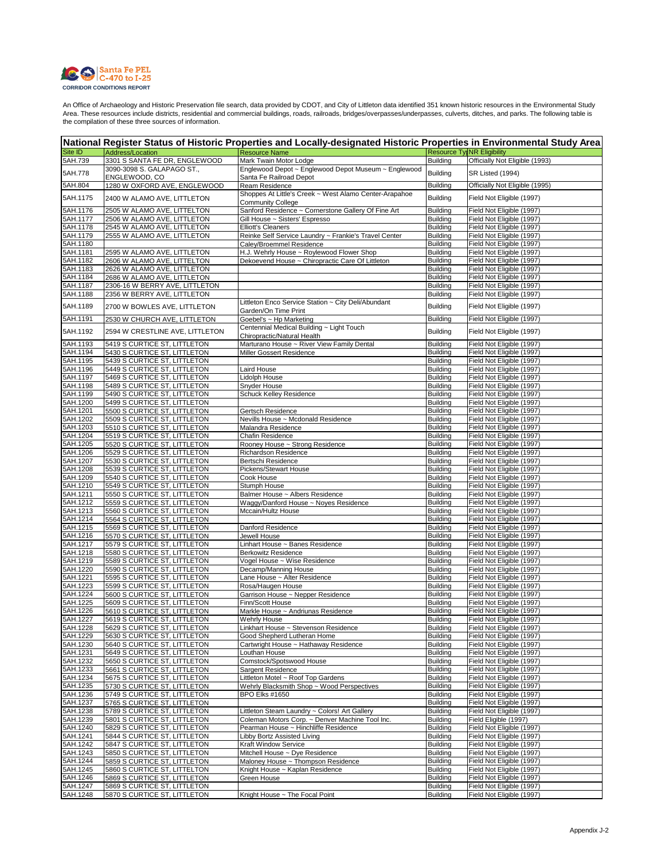

| National Register Status of Historic Properties and Locally-designated Historic Properties in Environmental Study Area |                                                              |                                                                                    |                                    |                                                        |
|------------------------------------------------------------------------------------------------------------------------|--------------------------------------------------------------|------------------------------------------------------------------------------------|------------------------------------|--------------------------------------------------------|
| Site ID                                                                                                                | Address/Location                                             | <b>Resource Name</b>                                                               |                                    | <b>Resource TylNR Eligibility</b>                      |
| 5AH.739                                                                                                                | 3301 S SANTA FE DR, ENGLEWOOD                                | Mark Twain Motor Lodge                                                             | <b>Building</b>                    | Officially Not Eligible (1993)                         |
| 5AH.778                                                                                                                | 3090-3098 S. GALAPAGO ST.,<br>ENGLEWOOD, CO                  | Englewood Depot ~ Englewood Depot Museum ~ Englewood<br>Santa Fe Railroad Depot    | <b>Building</b>                    | <b>SR Listed (1994)</b>                                |
| 5AH.804                                                                                                                | 1280 W OXFORD AVE, ENGLEWOOD                                 | Ream Residence                                                                     | Building                           | Officially Not Eligible (1995)                         |
| 5AH.1175                                                                                                               | 2400 W ALAMO AVE, LITTLETON                                  | Shoppes At Little's Creek ~ West Alamo Center-Arapahoe<br><b>Community College</b> | <b>Building</b>                    | Field Not Eligible (1997)                              |
| 5AH.1176                                                                                                               | 2505 W ALAMO AVE, LITTELTON                                  | Sanford Residence ~ Cornerstone Gallery Of Fine Art                                | Building                           | Field Not Eligible (1997)                              |
| 5AH.1177                                                                                                               | 2506 W ALAMO AVE, LITTLETON                                  | Gill House ~ Sisters' Espresso                                                     | Building                           | Field Not Eligible (1997)                              |
| 5AH.1178                                                                                                               | 2545 W ALAMO AVE, LITTLETON                                  | <b>Elliott's Cleaners</b>                                                          | <b>Building</b>                    | Field Not Eligible (1997)                              |
| 5AH.1179                                                                                                               | 2555 W ALAMO AVE, LITTLETON                                  | Reinke Self Service Laundry ~ Frankie's Travel Center                              | <b>Building</b>                    | Field Not Eligible (1997)                              |
| 5AH.1180                                                                                                               |                                                              | Caley/Broemmel Residence<br>H.J. Wehrly House ~ Roylewood Flower Shop              | <b>Building</b>                    | Field Not Eligible (1997)                              |
| 5AH.1181<br>5AH.1182                                                                                                   | 2595 W ALAMO AVE, LITTLETON<br>2606 W ALAMO AVE, LITTELTON   | Dekoevend House ~ Chiropractic Care Of Littleton                                   | <b>Building</b><br><b>Building</b> | Field Not Eligible (1997)<br>Field Not Eligible (1997) |
| 5AH.1183                                                                                                               | 2626 W ALAMO AVE, LITTLETON                                  |                                                                                    | <b>Building</b>                    | Field Not Eligible (1997)                              |
| 5AH.1184                                                                                                               | 2686 W ALAMO AVE, LITTLETON                                  |                                                                                    | <b>Building</b>                    | Field Not Eligible (1997)                              |
| 5AH.1187                                                                                                               | 2306-16 W BERRY AVE, LITTLETON                               |                                                                                    | <b>Building</b>                    | Field Not Eligible (1997)                              |
| 5AH.1188                                                                                                               | 2356 W BERRY AVE, LITTLETON                                  |                                                                                    | Building                           | Field Not Eligible (1997)                              |
| 5AH.1189                                                                                                               | 2700 W BOWLES AVE, LITTLETON                                 | Littleton Enco Service Station ~ City Deli/Abundant<br>Garden/On Time Print        | <b>Building</b>                    | Field Not Eligible (1997)                              |
| 5AH.1191                                                                                                               | 2530 W CHURCH AVE, LITTLETON                                 | Goebel's ~ Hp Marketing                                                            | <b>Building</b>                    | Field Not Eligible (1997)                              |
| 5AH.1192                                                                                                               | 2594 W CRESTLINE AVE, LITTLETON                              | Centennial Medical Building ~ Light Touch<br>Chiropractic/Natural Health           | <b>Building</b>                    | Field Not Eligible (1997)                              |
| 5AH.1193                                                                                                               | 5419 S CURTICE ST, LITTLETON                                 | Marturano House ~ River View Family Dental                                         | <b>Building</b>                    | Field Not Eligible (1997)                              |
| 5AH.1194                                                                                                               | 5430 S CURTICE ST, LITTLETON                                 | Miller Gossert Residence                                                           | Building                           | Field Not Eligible (1997)                              |
| 5AH.1195                                                                                                               | 5439 S CURTICE ST, LITTLETON                                 |                                                                                    | <b>Building</b>                    | Field Not Eligible (1997)                              |
| 5AH.1196                                                                                                               | 5449 S CURTICE ST, LITTLETON                                 | Laird House                                                                        | Building                           | Field Not Eligible (1997)                              |
| 5AH.1197                                                                                                               | 5469 S CURTICE ST, LITTLETON                                 | Lidolph House                                                                      | <b>Building</b>                    | Field Not Eligible (1997)                              |
| 5AH.1198<br>5AH.1199                                                                                                   | 5489 S CURTICE ST, LITTLETON<br>5490 S CURTICE ST, LITTLETON | <b>Snyder House</b><br>Schuck Kelley Residence                                     | <b>Building</b><br>Building        | Field Not Eligible (1997)<br>Field Not Eligible (1997) |
| 5AH.1200                                                                                                               | 5499 S CURTICE ST, LITTLETON                                 |                                                                                    | <b>Building</b>                    | Field Not Eligible (1997)                              |
| 5AH.1201                                                                                                               | 5500 S CURTICE ST, LITTLETON                                 | Gertsch Residence                                                                  | Building                           | Field Not Eligible (1997)                              |
| 5AH.1202                                                                                                               | 5509 S CURTICE ST, LITTLETON                                 | Nevills House ~ Mcdonald Residence                                                 | Building                           | Field Not Eligible (1997)                              |
| 5AH.1203                                                                                                               | 5510 S CURTICE ST, LITTLETON                                 | Malandra Residence                                                                 | Building                           | Field Not Eligible (1997)                              |
| 5AH.1204                                                                                                               | 5519 S CURTICE ST, LITTLETON                                 | Chafin Residence                                                                   | <b>Building</b>                    | Field Not Eligible (1997)                              |
| 5AH.1205                                                                                                               | 5520 S CURTICE ST, LITTLETON                                 | Rooney House ~ Strong Residence                                                    | Building                           | Field Not Eligible (1997)                              |
| 5AH.1206                                                                                                               | 5529 S CURTICE ST, LITTLETON                                 | Richardson Residence                                                               | <b>Building</b>                    | Field Not Eligible (1997)                              |
| 5AH.1207                                                                                                               | 5530 S CURTICE ST, LITTLETON                                 | Bertschi Residence                                                                 | <b>Building</b>                    | Field Not Eligible (1997)                              |
| 5AH.1208                                                                                                               | 5539 S CURTICE ST, LITTLETON                                 | <b>Pickens/Stewart House</b>                                                       | <b>Building</b>                    | Field Not Eligible (1997)                              |
| 5AH.1209<br>5AH.1210                                                                                                   | 5540 S CURTICE ST, LITTLETON                                 | Cook House                                                                         | Building                           | Field Not Eligible (1997)                              |
| 5AH.1211                                                                                                               | 5549 S CURTICE ST, LITTLETON<br>5550 S CURTICE ST, LITTLETON | Stumph House<br>Balmer House ~ Albers Residence                                    | Building<br><b>Building</b>        | Field Not Eligible (1997)<br>Field Not Eligible (1997) |
| 5AH.1212                                                                                                               | 5559 S CURTICE ST, LITTLETON                                 | Waggy/Danford House ~ Noyes Residence                                              | <b>Building</b>                    | Field Not Eligible (1997)                              |
| 5AH.1213                                                                                                               | 5560 S CURTICE ST, LITTLETON                                 | Mccain/Hultz House                                                                 | <b>Building</b>                    | Field Not Eligible (1997)                              |
| 5AH.1214                                                                                                               | 5564 S CURTICE ST, LITTLETON                                 |                                                                                    | <b>Building</b>                    | Field Not Eligible (1997)                              |
| 5AH.1215                                                                                                               | 5569 S CURTICE ST, LITTLETON                                 | Danford Residence                                                                  | <b>Building</b>                    | Field Not Eligible (1997)                              |
| 5AH.1216                                                                                                               | 5570 S CURTICE ST, LITTLETON                                 | Jewell House                                                                       | <b>Building</b>                    | Field Not Eligible (1997)                              |
| 5AH.1217                                                                                                               | 5579 S CURTICE ST, LITTLETON                                 | Linhart House ~ Banes Residence                                                    | Building                           | Field Not Eligible (1997)                              |
| 5AH.1218                                                                                                               | 5580 S CURTICE ST, LITTLETON                                 | Berkowitz Residence                                                                | Building                           | Field Not Eligible (1997)                              |
| 5AH.1219<br>5AH.1220                                                                                                   | 5589 S CURTICE ST, LITTLETON<br>5590 S CURTICE ST, LITTLETON | Vogel House ~ Wise Residence                                                       | Building<br><b>Building</b>        | Field Not Eligible (1997)                              |
| 5AH.1221                                                                                                               | 5595 S CURTICE ST, LITTLETON                                 | Decamp/Manning House<br>Lane House ~ Alter Residence                               | <b>Building</b>                    | Field Not Eligible (1997)<br>Field Not Eligible (1997) |
| 5AH.1223                                                                                                               | 5599 S CURTICE ST, LITTLETON                                 | Rosa/Haugen House                                                                  | <b>Building</b>                    | Field Not Eligible (1997)                              |
| 5AH.1224                                                                                                               | 5600 S CURTICE ST, LITTLETON                                 | Garrison House ~ Nepper Residence                                                  | <b>Building</b>                    | Field Not Eligible (1997)                              |
| 5AH.1225                                                                                                               | 5609 S CURTICE ST, LITTLETON                                 | Finn/Scott House                                                                   | Building                           | Field Not Eligible (1997)                              |
| 5AH.1226                                                                                                               | 5610 S CURTICE ST, LITTLETON                                 | Markle House ~ Andriunas Residence                                                 | <b>Building</b>                    | Field Not Eligible (1997)                              |
| 5AH.1227                                                                                                               | 5619 S CURTICE ST, LITTLETON                                 | Wehrly House                                                                       | <b>Building</b>                    | Field Not Eligible (1997)                              |
| 5AH.1228                                                                                                               | 5629 S CURTICE ST, LITTLETON                                 | Linkhart House ~ Stevenson Residence                                               | <b>Building</b>                    | Field Not Eligible (1997)                              |
| 5AH.1229                                                                                                               | 5630 S CURTICE ST, LITTLETON                                 | Good Shepherd Lutheran Home                                                        | <b>Building</b>                    | Field Not Eligible (1997)                              |
| 5AH.1230                                                                                                               | 5640 S CURTICE ST, LITTLETON                                 | Cartwright House ~ Hathaway Residence                                              | <b>Building</b>                    | Field Not Eligible (1997)                              |
| 5AH.1231<br>5AH.1232                                                                                                   | 5649 S CURTICE ST, LITTLETON                                 | Louthan House                                                                      | <b>Building</b>                    | Field Not Eligible (1997)<br>Field Not Eligible (1997) |
| 5AH.1233                                                                                                               | 5650 S CURTICE ST, LITTLETON<br>5661 S CURTICE ST, LITTLETON | Comstock/Spotswood House<br>Sargent Residence                                      | <b>Building</b><br><b>Building</b> | Field Not Eligible (1997)                              |
| 5AH.1234                                                                                                               | 5675 S CURTICE ST, LITTLETON                                 | Littleton Motel ~ Roof Top Gardens                                                 | <b>Building</b>                    | Field Not Eligible (1997)                              |
| 5AH.1235                                                                                                               | 5730 S CURTICE ST, LITTLETON                                 | Wehrly Blacksmith Shop ~ Wood Perspectives                                         | <b>Building</b>                    | Field Not Eligible (1997)                              |
| 5AH.1236                                                                                                               | 5749 S CURTICE ST, LITTLETON                                 | <b>BPO Elks #1650</b>                                                              | <b>Building</b>                    | Field Not Eligible (1997)                              |
| 5AH.1237                                                                                                               | 5765 S CURTICE ST, LITTLETON                                 |                                                                                    | <b>Building</b>                    | Field Not Eligible (1997)                              |
| 5AH.1238                                                                                                               | 5789 S CURTICE ST, LITTLETON                                 | Littleton Steam Laundry ~ Colors! Art Gallery                                      | <b>Building</b>                    | Field Not Eligible (1997)                              |
| 5AH.1239                                                                                                               | 5801 S CURTICE ST, LITTLETON                                 | Coleman Motors Corp. ~ Denver Machine Tool Inc.                                    | <b>Building</b>                    | Field Eligible (1997)                                  |
| 5AH.1240                                                                                                               | 5829 S CURTICE ST, LITTLETON                                 | Pearman House ~ Hinchliffe Residence                                               | <b>Building</b>                    | Field Not Eligible (1997)                              |
| 5AH.1241                                                                                                               | 5844 S CURTICE ST, LITTLETON                                 | Libby Bortz Assisted Living                                                        | <b>Building</b>                    | Field Not Eligible (1997)                              |
| 5AH.1242                                                                                                               | 5847 S CURTICE ST, LITTLETON                                 | Kraft Window Service                                                               | <b>Building</b>                    | Field Not Eligible (1997)                              |
| 5AH.1243                                                                                                               | 5850 S CURTICE ST, LITTLETON                                 | Mitchell House ~ Dye Residence                                                     | <b>Building</b>                    | Field Not Eligible (1997)                              |
| 5AH.1244<br>5AH.1245                                                                                                   | 5859 S CURTICE ST, LITTLETON                                 | Maloney House ~ Thompson Residence<br>Knight House ~ Kaplan Residence              | <b>Building</b><br><b>Building</b> | Field Not Eligible (1997)<br>Field Not Eligible (1997) |
| 5AH.1246                                                                                                               | 5860 S CURTICE ST, LITTELTON<br>5869 S CURTICE ST, LITTLETON | Green House                                                                        | <b>Building</b>                    | Field Not Eligible (1997)                              |
| 5AH.1247                                                                                                               | 5869 S CURTICE ST, LITTLETON                                 |                                                                                    | <b>Building</b>                    | Field Not Eligible (1997)                              |
| 5AH.1248                                                                                                               | 5870 S CURTICE ST, LITTLETON                                 | Knight House ~ The Focal Point                                                     | <b>Building</b>                    | Field Not Eligible (1997)                              |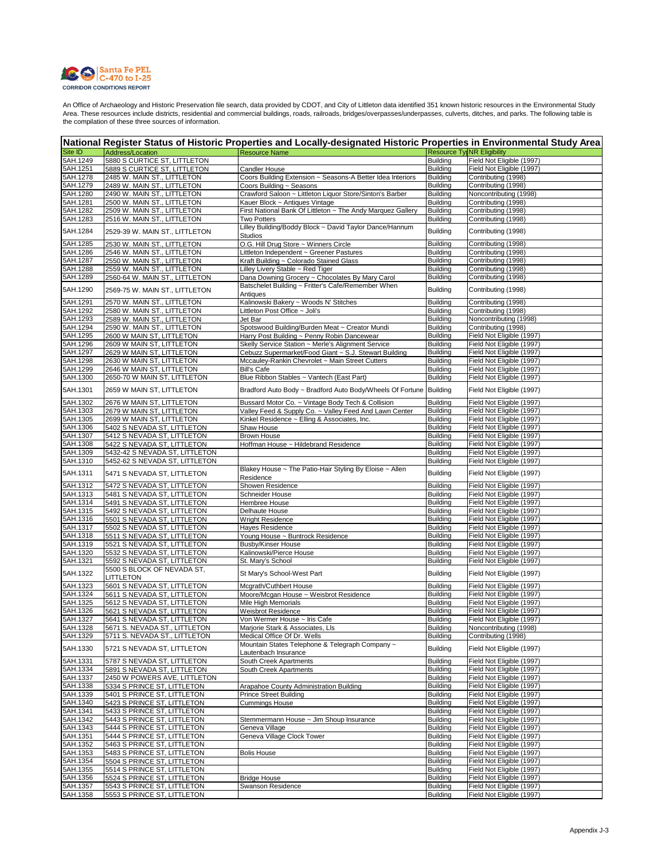

| National Register Status of Historic Properties and Locally-designated Historic Properties in Environmental Study Area |                                                              |                                                                        |                                    |                                                        |
|------------------------------------------------------------------------------------------------------------------------|--------------------------------------------------------------|------------------------------------------------------------------------|------------------------------------|--------------------------------------------------------|
| Site ID                                                                                                                | Address/Location                                             | <b>Resource Name</b>                                                   |                                    | <b>Resource TylNR Eligibility</b>                      |
| 5AH.1249                                                                                                               | 5880 S CURTICE ST, LITTLETON                                 |                                                                        | <b>Building</b>                    | Field Not Eligible (1997)                              |
| 5AH.1251                                                                                                               | 5889 S CURTICE ST, LITTLETON                                 | <b>Candler House</b>                                                   | <b>Building</b>                    | Field Not Eligible (1997)                              |
| 5AH.1278                                                                                                               | 2485 W. MAIN ST., LITTLETON                                  | Coors Building Extension ~ Seasons-A Better Idea Interiors             | <b>Building</b>                    | Contributing (1998)                                    |
| 5AH.1279                                                                                                               | 2489 W. MAIN ST., LITTLETON                                  | Coors Building ~ Seasons                                               | <b>Building</b>                    | Contributing (1998)                                    |
| 5AH.1280                                                                                                               | 2490 W. MAIN ST., LITTLETON                                  | Crawford Saloon ~ Littleton Liquor Store/Sinton's Barber               | <b>Building</b>                    | Noncontributing (1998)                                 |
| 5AH.1281<br>5AH.1282                                                                                                   | 2500 W. MAIN ST., LITTLETON                                  | Kauer Block ~ Antiques Vintage                                         | <b>Building</b><br><b>Building</b> | Contributing (1998)<br>Contributing (1998)             |
|                                                                                                                        | 2509 W. MAIN ST., LITTLETON                                  | First National Bank Of Littleton ~ The Andy Marquez Gallery            |                                    |                                                        |
| 5AH.1283                                                                                                               | 2516 W. MAIN ST., LITTLETON                                  | Two Potters<br>Lilley Building/Boddy Block ~ David Taylor Dance/Hannum | <b>Building</b>                    | Contributing (1998)                                    |
| 5AH.1284                                                                                                               | 2529-39 W. MAIN ST., LITTLETON                               | <b>Studios</b>                                                         | <b>Building</b>                    | Contributing (1998)                                    |
| 5AH.1285                                                                                                               | 2530 W. MAIN ST., LITTLETON                                  | O.G. Hill Drug Store ~ Winners Circle                                  | <b>Building</b>                    | Contributing (1998)                                    |
| 5AH.1286                                                                                                               | 2546 W. MAIN ST., LITTLETON                                  | Littleton Independent ~ Greener Pastures                               | <b>Building</b>                    | Contributing (1998)                                    |
| 5AH.1287                                                                                                               | 2550 W. MAIN ST., LITTLETON                                  | Kraft Building ~ Colorado Stained Glass                                | <b>Building</b>                    | Contributing (1998)                                    |
| 5AH.1288                                                                                                               | 2559 W. MAIN ST., LITTLETON                                  | Lilley Livery Stable ~ Red Tiger                                       | <b>Building</b>                    | Contributing (1998)                                    |
| 5AH.1289                                                                                                               | 2560-64 W. MAIN ST., LITTLETON                               | Dana Downing Grocery ~ Chocolates By Mary Carol                        | Building                           | Contributing (1998)                                    |
| 5AH.1290                                                                                                               | 2569-75 W. MAIN ST., LITTLETON                               | Batschelet Building ~ Fritter's Cafe/Remember When<br>Antiques         | <b>Building</b>                    | Contributing (1998)                                    |
| 5AH.1291                                                                                                               | 2570 W. MAIN ST., LITTLETON                                  | Kalinowski Bakery ~ Woods N' Stitches                                  | <b>Building</b>                    | Contributing (1998)                                    |
| 5AH.1292                                                                                                               | 2580 W. MAIN ST., LITTLETON                                  | Littleton Post Office ~ Joli's                                         | <b>Building</b>                    | Contributing (1998)                                    |
| 5AH.1293                                                                                                               | 2589 W. MAIN ST., LITTLETON                                  | Jet Bar                                                                | <b>Building</b>                    | Noncontributing (1998)                                 |
| 5AH.1294                                                                                                               | 2590 W. MAIN ST., LITTLETON                                  | Spotswood Building/Burden Meat ~ Creator Mundi                         | <b>Building</b>                    | Contributing (1998)                                    |
| 5AH.1295                                                                                                               | 2600 W MAIN ST, LITTLETON                                    | Harry Post Building ~ Penny Robin Dancewear                            | <b>Building</b>                    | Field Not Eligible (1997)                              |
| 5AH.1296                                                                                                               | 2609 W MAIN ST, LITTLETON                                    | Skelly Service Station ~ Merle's Alignment Service                     | <b>Building</b>                    | Field Not Eligible (1997)                              |
| 5AH.1297                                                                                                               | 2629 W MAIN ST, LITTLETON                                    | Cebuzz Supermarket/Food Giant ~ S.J. Stewart Building                  | <b>Building</b>                    | Field Not Eligible (1997)                              |
| 5AH.1298                                                                                                               | 2630 W MAIN ST, LITTLETON                                    | Mccauley-Rankin Chevrolet ~ Main Street Cutters                        | <b>Building</b>                    | Field Not Eligible (1997)                              |
| 5AH.1299                                                                                                               | 2646 W MAIN ST, LITTLETON                                    | Bill's Cafe                                                            | <b>Building</b>                    | Field Not Eligible (1997)                              |
| 5AH.1300                                                                                                               | 2650-70 W MAIN ST, LITTLETON                                 | Blue Ribbon Stables ~ Vantech (East Part)                              | <b>Building</b>                    | Field Not Eligible (1997)                              |
| 5AH.1301                                                                                                               | 2659 W MAIN ST, LITTLETON                                    | Bradford Auto Body ~ Bradford Auto Body/Wheels Of Fortune Building     |                                    | Field Not Eligible (1997)                              |
| 5AH.1302                                                                                                               | 2676 W MAIN ST, LITTLETON                                    | Bussard Motor Co. ~ Vintage Body Tech & Collision                      | <b>Building</b>                    | Field Not Eligible (1997)                              |
| 5AH.1303                                                                                                               | 2679 W MAIN ST, LITTLETON                                    | Valley Feed & Supply Co. ~ Valley Feed And Lawn Center                 | <b>Building</b><br>Building        | Field Not Eligible (1997)                              |
| 5AH.1305<br>5AH.1306                                                                                                   | 2699 W MAIN ST, LITTLETON<br>5402 S NEVADA ST, LITTLETON     | Kinkel Residence ~ Elling & Associates, Inc.<br>Shaw House             | <b>Building</b>                    | Field Not Eligible (1997)<br>Field Not Eligible (1997) |
| 5AH.1307                                                                                                               | 5412 S NEVADA ST, LITTLETON                                  | <b>Brown House</b>                                                     | Building                           | Field Not Eligible (1997)                              |
| 5AH.1308                                                                                                               | 5422 S NEVADA ST, LITTLETON                                  | Hoffman House ~ Hildebrand Residence                                   | Building                           | Field Not Eligible (1997)                              |
| 5AH.1309                                                                                                               | 5432-42 S NEVADA ST, LITTLETON                               |                                                                        | <b>Building</b>                    | Field Not Eligible (1997)                              |
| 5AH.1310                                                                                                               | 5452-62 S NEVADA ST, LITTLETON                               |                                                                        | <b>Building</b>                    | Field Not Eligible (1997)                              |
| 5AH.1311                                                                                                               | 5471 S NEVADA ST, LITTLETON                                  | Blakey House ~ The Patio-Hair Styling By Eloise ~ Allen<br>Residence   | <b>Building</b>                    | Field Not Eligible (1997)                              |
| 5AH.1312                                                                                                               | 5472 S NEVADA ST, LITTLETON                                  | Showen Residence                                                       | <b>Building</b>                    | Field Not Eligible (1997)                              |
| 5AH.1313                                                                                                               | 5481 S NEVADA ST, LITTLETON                                  | Schneider House                                                        | <b>Building</b>                    | Field Not Eligible (1997)                              |
| 5AH.1314                                                                                                               | 5491 S NEVADA ST, LITTLETON                                  | Hembree House                                                          | <b>Building</b>                    | Field Not Eligible (1997)                              |
| 5AH.1315                                                                                                               | 5492 S NEVADA ST, LITTLETON                                  | Delhaute House                                                         | <b>Building</b>                    | Field Not Eligible (1997)                              |
| 5AH.1316                                                                                                               | 5501 S NEVADA ST, LITTLETON                                  | Wright Residence                                                       | Building                           | Field Not Eligible (1997)                              |
| 5AH.1317                                                                                                               | 5502 S NEVADA ST, LITTLETON                                  | Hayes Residence                                                        | <b>Building</b>                    | Field Not Eligible (1997)                              |
| 5AH.1318                                                                                                               | 5511 S NEVADA ST, LITTLETON                                  | Young House ~ Buntrock Residence                                       | <b>Building</b>                    | Field Not Eligible (1997)                              |
| 5AH.1319                                                                                                               | 5521 S NEVADA ST, LITTLETON                                  | Busby/Kinser House                                                     | Building                           | Field Not Eligible (1997)                              |
| 5AH.1320                                                                                                               | 5532 S NEVADA ST, LITTLETON                                  | Kalinowski/Pierce House                                                | <b>Building</b>                    | Field Not Eligible (1997)                              |
| 5AH.1321                                                                                                               | 5592 S NEVADA ST, LITTLETON<br>5500 S BLOCK OF NEVADA ST,    | St. Mary's School                                                      | <b>Building</b>                    | Field Not Eligible (1997)                              |
| 5AH.1322                                                                                                               | LITTLETON                                                    | St Mary's School-West Part                                             | <b>Building</b>                    | Field Not Eligible (1997)                              |
| 5AH.1323                                                                                                               | 5601 S NEVADA ST, LITTLETON                                  | Mcgrath/Cuthbert House                                                 | <b>Building</b>                    | Field Not Eligible (1997)                              |
| 5AH.1324                                                                                                               | 5611 S NEVADA ST, LITTLETON                                  | Moore/Mcgan House ~ Weisbrot Residence                                 | <b>Building</b>                    | Field Not Eligible (1997)                              |
| 5AH.1325                                                                                                               | 5612 S NEVADA ST, LITTLETON                                  | Mile High Memorials                                                    | <b>Building</b>                    | Field Not Eligible (1997)                              |
| 5AH.1326                                                                                                               | 5621 S NEVADA ST, LITTLETON                                  | Weisbrot Residence                                                     | <b>Building</b>                    | Field Not Eligible (1997)                              |
| 5AH.1327                                                                                                               | 5641 S NEVADA ST, LITTLETON<br>5671 S. NEVADA ST., LITTLETON | Von Wermer House ~ Iris Cafe                                           | <b>Building</b>                    | Field Not Eligible (1997)                              |
| 5AH.1328<br>5AH.1329                                                                                                   | 5711 S. NEVADA ST., LITTLETON                                | Marjorie Stark & Associates, Lls<br>Medical Office Of Dr. Wells        | <b>Building</b><br><b>Building</b> | Noncontributing (1998)<br>Contributing (1998)          |
| 5AH.1330                                                                                                               | 5721 S NEVADA ST, LITTLETON                                  | Mountain States Telephone & Telegraph Company ~                        | <b>Building</b>                    | Field Not Eligible (1997)                              |
|                                                                                                                        |                                                              | Lautenbach Insurance                                                   |                                    |                                                        |
| 5AH.1331<br>5AH.1334                                                                                                   | 5787 S NEVADA ST, LITTLETON<br>5891 S NEVADA ST, LITTLETON   | South Creek Apartments<br>South Creek Apartments                       | <b>Building</b><br><b>Building</b> | Field Not Eligible (1997)<br>Field Not Eligible (1997) |
| 5AH.1337                                                                                                               | 2450 W POWERS AVE, LITTLETON                                 |                                                                        | <b>Building</b>                    | Field Not Eligible (1997)                              |
| 5AH.1338                                                                                                               | 5334 S PRINCE ST, LITTLETON                                  | Arapahoe County Administration Building                                | <b>Building</b>                    | Field Not Eligible (1997)                              |
| 5AH.1339                                                                                                               | 5401 S PRINCE ST, LITTLETON                                  | <b>Prince Street Building</b>                                          | <b>Building</b>                    | Field Not Eligible (1997)                              |
| 5AH.1340                                                                                                               | 5423 S PRINCE ST, LITTLETON                                  | Cummings House                                                         | <b>Building</b>                    | Field Not Eligible (1997)                              |
| 5AH.1341                                                                                                               | 5433 S PRINCE ST, LITTLETON                                  |                                                                        | <b>Building</b>                    | Field Not Eligible (1997)                              |
| 5AH.1342                                                                                                               | 5443 S PRINCE ST, LITTLETON                                  | Stemmermann House ~ Jim Shoup Insurance                                | <b>Building</b>                    | Field Not Eligible (1997)                              |
| 5AH.1343                                                                                                               | 5444 S PRINCE ST, LITTLETON                                  | Geneva Village                                                         | <b>Building</b>                    | Field Not Eligible (1997)                              |
| 5AH.1351                                                                                                               | 5444 S PRINCE ST, LITTLETON                                  | Geneva Village Clock Tower                                             | <b>Building</b>                    | Field Not Eligible (1997)                              |
| 5AH.1352                                                                                                               | 5463 S PRINCE ST, LITTLETON                                  |                                                                        | <b>Building</b>                    | Field Not Eligible (1997)                              |
| 5AH.1353                                                                                                               | 5483 S PRINCE ST, LITTLETON                                  | <b>Bolis House</b>                                                     | <b>Building</b>                    | Field Not Eligible (1997)                              |
| 5AH.1354<br>5AH.1355                                                                                                   | 5504 S PRINCE ST, LITTLETON<br>5514 S PRINCE ST, LITTLETON   |                                                                        | <b>Building</b>                    | Field Not Eligible (1997)<br>Field Not Eligible (1997) |
| 5AH.1356                                                                                                               | 5524 S PRINCE ST, LITTLETON                                  | <b>Bridge House</b>                                                    | <b>Building</b><br><b>Building</b> | Field Not Eligible (1997)                              |
| 5AH.1357                                                                                                               | 5543 S PRINCE ST, LITTLETON                                  | Swanson Residence                                                      | <b>Building</b>                    | Field Not Eligible (1997)                              |
| 5AH.1358                                                                                                               | 5553 S PRINCE ST, LITTLETON                                  |                                                                        | <b>Building</b>                    | Field Not Eligible (1997)                              |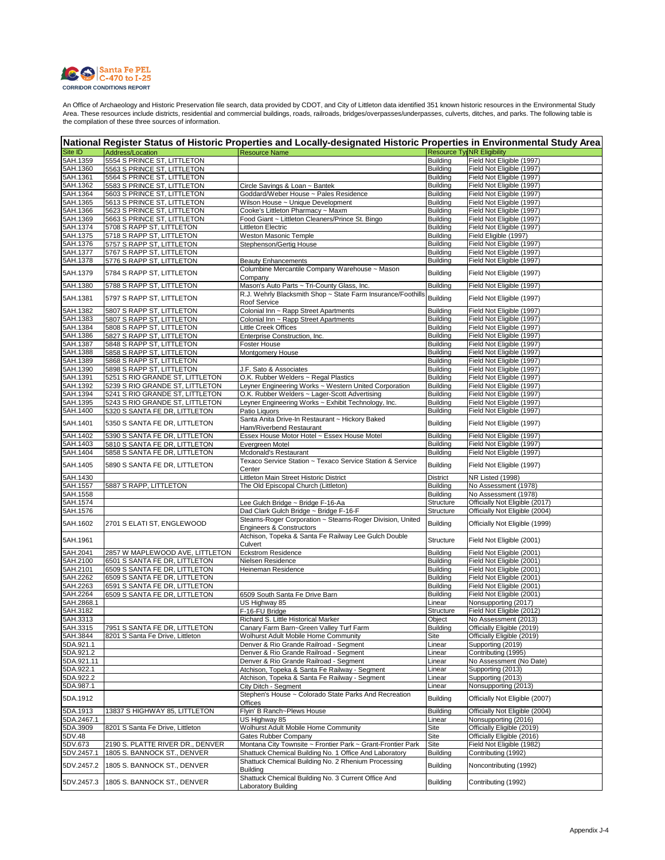

| National Register Status of Historic Properties and Locally-designated Historic Properties in Environmental Study Area |                                  |                                                                                                                       |                           |                                                        |  |
|------------------------------------------------------------------------------------------------------------------------|----------------------------------|-----------------------------------------------------------------------------------------------------------------------|---------------------------|--------------------------------------------------------|--|
| Site ID                                                                                                                | Address/Location                 | <b>Resource Name</b>                                                                                                  |                           | <b>Resource TylNR Eligibility</b>                      |  |
| 5AH.1359                                                                                                               | 5554 S PRINCE ST, LITTLETON      |                                                                                                                       | Building                  | Field Not Eligible (1997)                              |  |
| 5AH.1360                                                                                                               | 5563 S PRINCE ST, LITTLETON      |                                                                                                                       | <b>Building</b>           | Field Not Eligible (1997)                              |  |
| 5AH.1361                                                                                                               | 5564 S PRINCE ST, LITTLETON      |                                                                                                                       | <b>Building</b>           | Field Not Eligible (1997)                              |  |
| 5AH.1362                                                                                                               | 5583 S PRINCE ST, LITTLETON      | Circle Savings & Loan ~ Bantek                                                                                        | <b>Building</b>           | Field Not Eligible (1997)                              |  |
| 5AH.1364                                                                                                               | 5603 S PRINCE ST, LITTLETON      | Goddard/Weber House ~ Pales Residence                                                                                 | <b>Building</b>           | Field Not Eligible (1997)                              |  |
| 5AH.1365                                                                                                               | 5613 S PRINCE ST, LITTLETON      | Wilson House ~ Unique Development                                                                                     | <b>Building</b>           | Field Not Eligible (1997)                              |  |
| 5AH.1366                                                                                                               | 5623 S PRINCE ST, LITTLETON      | Cooke's Littleton Pharmacy ~ Maxm                                                                                     | <b>Building</b>           | Field Not Eligible (1997)                              |  |
| 5AH.1369                                                                                                               | 5663 S PRINCE ST, LITTLETON      | Food Giant ~ Littleton Cleaners/Prince St. Bingo                                                                      | Building                  | Field Not Eligible (1997)                              |  |
| 5AH.1374                                                                                                               | 5708 S RAPP ST, LITTLETON        | Littleton Electric                                                                                                    | <b>Building</b>           | Field Not Eligible (1997)                              |  |
| 5AH.1375                                                                                                               | 5718 S RAPP ST, LITTLETON        | <b>Weston Masonic Temple</b>                                                                                          | <b>Building</b>           | Field Eligible (1997)                                  |  |
| 5AH.1376                                                                                                               | 5757 S RAPP ST, LITTLETON        | Stephenson/Gertig House                                                                                               | <b>Building</b>           | Field Not Eligible (1997)                              |  |
| 5AH.1377                                                                                                               | 5767 S RAPP ST, LITTLETON        |                                                                                                                       | <b>Building</b>           | Field Not Eligible (1997)                              |  |
| 5AH.1378                                                                                                               | 5776 S RAPP ST, LITTLETON        | <b>Beauty Enhancements</b>                                                                                            | <b>Building</b>           | Field Not Eligible (1997)                              |  |
| 5AH.1379                                                                                                               | 5784 S RAPP ST, LITTLETON        | Columbine Mercantile Company Warehouse ~ Mason<br>Company                                                             | <b>Building</b>           | Field Not Eligible (1997)                              |  |
| 5AH.1380                                                                                                               | 5788 S RAPP ST, LITTLETON        | Mason's Auto Parts ~ Tri-County Glass, Inc.                                                                           | <b>Building</b>           | Field Not Eligible (1997)                              |  |
| 5AH.1381                                                                                                               | 5797 S RAPP ST, LITTLETON        | R.J. Wehrly Blacksmith Shop ~ State Farm Insurance/Foothills<br>Roof Service                                          | Building                  | Field Not Eligible (1997)                              |  |
| 5AH.1382                                                                                                               | 5807 S RAPP ST, LITTLETON        | Colonial Inn ~ Rapp Street Apartments                                                                                 | <b>Building</b>           | Field Not Eligible (1997)                              |  |
| 5AH.1383                                                                                                               | 5807 S RAPP ST, LITTLETON        | Colonial Inn ~ Rapp Street Apartments                                                                                 | <b>Building</b>           | Field Not Eligible (1997)                              |  |
| 5AH.1384                                                                                                               | 5808 S RAPP ST, LITTLETON        | <b>Little Creek Offices</b>                                                                                           | <b>Building</b>           | Field Not Eligible (1997)                              |  |
| 5AH.1386                                                                                                               | 5827 S RAPP ST, LITTLETON        | Enterprise Construction, Inc.                                                                                         | <b>Building</b>           | Field Not Eligible (1997)                              |  |
| 5AH.1387                                                                                                               | 5848 S RAPP ST, LITTLETON        | Foster House                                                                                                          | <b>Building</b>           | Field Not Eligible (1997)                              |  |
| 5AH.1388                                                                                                               | 5858 S RAPP ST, LITTLETON        | Montgomery House                                                                                                      | <b>Building</b>           | Field Not Eligible (1997)                              |  |
| 5AH.1389                                                                                                               | 5868 S RAPP ST, LITTLETON        |                                                                                                                       | <b>Building</b>           | Field Not Eligible (1997)                              |  |
| 5AH.1390                                                                                                               | 5898 S RAPP ST, LITTLETON        | J.F. Sato & Associates                                                                                                | Building                  | Field Not Eligible (1997)                              |  |
| 5AH.1391                                                                                                               | 5251 S RIO GRANDE ST, LITTLETON  | O.K. Rubber Welders ~ Regal Plastics                                                                                  | <b>Building</b>           | Field Not Eligible (1997)                              |  |
| 5AH.1392                                                                                                               | 5239 S RIO GRANDE ST, LITTLETON  | Leyner Engineering Works ~ Western United Corporation                                                                 | <b>Building</b>           | Field Not Eligible (1997)                              |  |
| 5AH.1394                                                                                                               | 5241 S RIO GRANDE ST, LITTLETON  | O.K. Rubber Welders ~ Lager-Scott Advertising                                                                         | <b>Building</b>           | Field Not Eligible (1997)                              |  |
| 5AH.1395                                                                                                               | 5243 S RIO GRANDE ST, LITTLETON  | Leyner Engineering Works ~ Exhibit Technology, Inc.                                                                   | <b>Building</b>           | Field Not Eligible (1997)                              |  |
| 5AH.1400                                                                                                               | 5320 S SANTA FE DR, LITTLETON    | Patio Liquors                                                                                                         | <b>Building</b>           | Field Not Eligible (1997)                              |  |
| 5AH.1401                                                                                                               | 5350 S SANTA FE DR, LITTLETON    | Santa Anita Drive-In Restaurant ~ Hickory Baked<br>Ham/Riverbend Restaurant                                           | <b>Building</b>           | Field Not Eligible (1997)                              |  |
| 5AH.1402                                                                                                               | 5390 S SANTA FE DR, LITTLETON    | Essex House Motor Hotel ~ Essex House Motel                                                                           | <b>Building</b>           | Field Not Eligible (1997)                              |  |
| 5AH.1403                                                                                                               | 5810 S SANTA FE DR, LITTLETON    | Evergreen Motel                                                                                                       | <b>Building</b>           | Field Not Eligible (1997)                              |  |
| 5AH.1404                                                                                                               | 5858 S SANTA FE DR, LITTLETON    | Mcdonald's Restaurant                                                                                                 | <b>Building</b>           | Field Not Eligible (1997)                              |  |
|                                                                                                                        |                                  | Texaco Service Station ~ Texaco Service Station & Service                                                             |                           |                                                        |  |
| 5AH.1405                                                                                                               | 5890 S SANTA FE DR, LITTLETON    | Center                                                                                                                | <b>Building</b>           | Field Not Eligible (1997)                              |  |
| 5AH.1430                                                                                                               |                                  | Littleton Main Street Historic District                                                                               | District                  | NR Listed (1998)                                       |  |
| 5AH.1557                                                                                                               | 5887 S RAPP, LITTLETON           | The Old Episcopal Church (Littleton)                                                                                  | <b>Building</b>           | No Assessment (1978)                                   |  |
| 5AH.1558                                                                                                               |                                  |                                                                                                                       | <b>Building</b>           | No Assessment (1978)                                   |  |
| 5AH.1574                                                                                                               |                                  | Lee Gulch Bridge ~ Bridge F-16-Aa                                                                                     | Structure                 | Officially Not Eligible (2017)                         |  |
| 5AH.1576                                                                                                               |                                  | Dad Clark Gulch Bridge ~ Bridge F-16-F                                                                                | Structure                 | Officially Not Eligible (2004)                         |  |
|                                                                                                                        |                                  | Stearns-Roger Corporation ~ Stearns-Roger Division, United                                                            |                           |                                                        |  |
| 5AH.1602                                                                                                               | 2701 S ELATI ST, ENGLEWOOD       | Engineers & Constructors<br>Atchison, Topeka & Santa Fe Railway Lee Gulch Double                                      | <b>Building</b>           | Officially Not Eligible (1999)                         |  |
| 5AH.1961                                                                                                               |                                  | Culvert                                                                                                               | Structure                 | Field Not Eligible (2001)                              |  |
| 5AH.2041                                                                                                               | 2857 W MAPLEWOOD AVE, LITTLETON  | <b>Eckstrom Residence</b>                                                                                             | <b>Building</b>           | Field Not Eligible (2001)                              |  |
| 5AH.2100                                                                                                               | 6501 S SANTA FE DR, LITTLETON    | Nielsen Residence                                                                                                     | Building                  | Field Not Eligible (2001)                              |  |
| 5AH.2101                                                                                                               | 6509 S SANTA FE DR, LITTLETON    | Heineman Residence                                                                                                    | <b>Building</b>           | Field Not Eligible (2001)                              |  |
| 5AH.2262                                                                                                               | 6509 S SANTA FE DR, LITTLETON    |                                                                                                                       | Building                  | Field Not Eligible (2001)                              |  |
| 5AH.2263                                                                                                               | 6591 S SANTA FE DR, LITTLETON    |                                                                                                                       | <b>Building</b>           | Field Not Eligible (2001)                              |  |
| 5AH.2264                                                                                                               | 6509 S SANTA FE DR, LITTLETON    | 6509 South Santa Fe Drive Barn                                                                                        | <b>Building</b>           | Field Not Eligible (2001)<br>Nonsupporting (2017)      |  |
| 5AH.2868.1<br>5AH.3182                                                                                                 |                                  | US Highway 85                                                                                                         | Linear                    | Field Not Eligible (2012)                              |  |
| 5AH.3313                                                                                                               |                                  | F-16-FU Bridge<br>Richard S. Little Historical Marker                                                                 | Structure                 | No Assessment (2013)                                   |  |
| 5AH.3315                                                                                                               | 7951 S SANTA FE DR, LITTLETON    | Canary Farm Barn~Green Valley Turf Farm                                                                               | Object<br><b>Building</b> | Officially Eligible (2019)                             |  |
| 5AH.3844                                                                                                               | 8201 S Santa Fe Drive, Littleton | Wolhurst Adult Mobile Home Community                                                                                  | Site                      | Officially Eligible (2019)                             |  |
| 5DA.921.1                                                                                                              |                                  | Denver & Rio Grande Railroad - Segment                                                                                | Linear                    | Supporting (2019)                                      |  |
| 5DA.921.2                                                                                                              |                                  | Denver & Rio Grande Railroad - Segment                                                                                | Linear                    | Contributing (1995)                                    |  |
| 5DA.921.11                                                                                                             |                                  | Denver & Rio Grande Railroad - Segment                                                                                | Linear                    | No Assessment (No Date)                                |  |
| 5DA.922.1                                                                                                              |                                  | Atchison, Topeka & Santa Fe Railway - Segment                                                                         | Linear                    | Supporting (2013)                                      |  |
| 5DA.922.2                                                                                                              |                                  | Atchison, Topeka & Santa Fe Railway - Segment                                                                         | Linear                    | Supporting (2013)                                      |  |
| 5DA.987.1                                                                                                              |                                  | City Ditch - Segment                                                                                                  | Linear                    | Nonsupporting (2013)                                   |  |
| 5DA.1912                                                                                                               |                                  | Stephen's House ~ Colorado State Parks And Recreation<br>Offices                                                      | <b>Building</b>           | Officially Not Eligible (2007)                         |  |
|                                                                                                                        |                                  |                                                                                                                       |                           |                                                        |  |
| 5DA.1913<br>5DA.2467.1                                                                                                 | 13837 S HIGHWAY 85, LITTLETON    | Flyin' B Ranch~Plews House                                                                                            | <b>Building</b>           | Officially Not Eligible (2004)<br>Nonsupporting (2016) |  |
|                                                                                                                        |                                  | US Highway 85<br>Wolhurst Adult Mobile Home Community                                                                 | Linear                    | Officially Eligible (2019)                             |  |
| 5DA.3909<br>5DV.48                                                                                                     | 8201 S Santa Fe Drive, Littleton |                                                                                                                       | Site                      | Officially Eligible (2016)                             |  |
| 5DV.673                                                                                                                |                                  | Gates Rubber Company                                                                                                  | Site<br>Site              | Field Not Eligible (1982)                              |  |
| 5DV.2457.1                                                                                                             | 2190 S. PLATTE RIVER DR., DENVER | Montana City Townsite ~ Frontier Park ~ Grant-Frontier Park<br>Shattuck Chemical Building No. 1 Office And Laboratory |                           | Contributing (1992)                                    |  |
|                                                                                                                        | 1805 S. BANNOCK ST., DENVER      | Shattuck Chemical Building No. 2 Rhenium Processing                                                                   | <b>Building</b>           |                                                        |  |
| 5DV.2457.2                                                                                                             | 1805 S. BANNOCK ST., DENVER      | <b>Building</b>                                                                                                       | <b>Building</b>           | Noncontributing (1992)                                 |  |
| 5DV.2457.3                                                                                                             | 1805 S. BANNOCK ST., DENVER      | Shattuck Chemical Building No. 3 Current Office And<br>Laboratory Building                                            | <b>Building</b>           | Contributing (1992)                                    |  |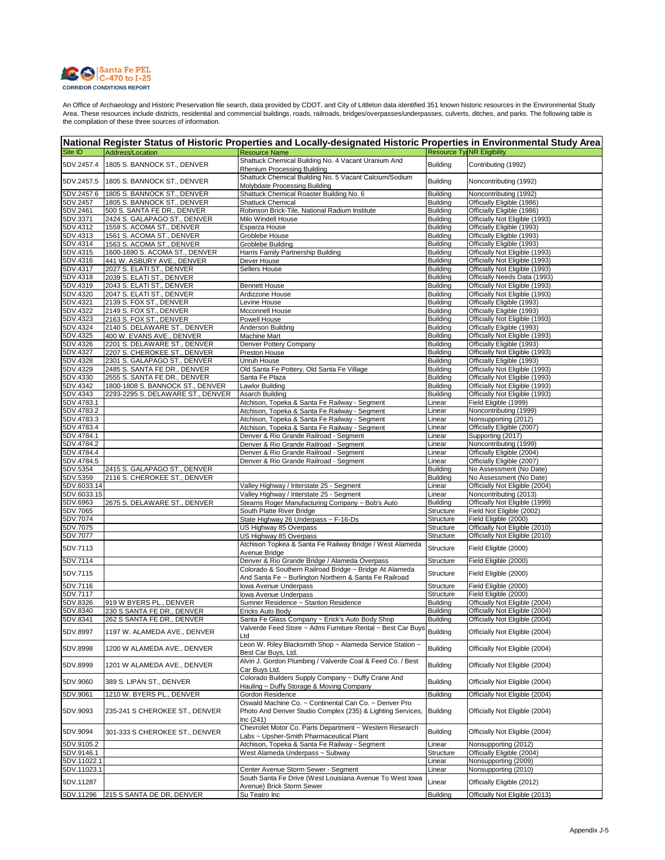

|                      |                                   | National Register Status of Historic Properties and Locally-designated Historic Properties in Environmental Study Area             |                                    |                                                                  |
|----------------------|-----------------------------------|------------------------------------------------------------------------------------------------------------------------------------|------------------------------------|------------------------------------------------------------------|
| Site ID              | Address/Location                  | <b>Resource Name</b>                                                                                                               | <b>Resource Tyl NR Eligibility</b> |                                                                  |
| 5DV.2457.4           | 1805 S. BANNOCK ST., DENVER       | Shattuck Chemical Building No. 4 Vacant Uranium And<br>Rhenium Processing Building                                                 | <b>Building</b>                    | Contributing (1992)                                              |
| 5DV.2457.5           | 1805 S. BANNOCK ST., DENVER       | Shattuck Chemical Building No. 5 Vacant Calcium/Sodium<br>Molybdate Processing Building                                            | <b>Building</b>                    | Noncontributing (1992)                                           |
| 5DV.2457.6           | 1805 S. BANNOCK ST., DENVER       | Shattuck Chemical Roaster Building No. 6                                                                                           | <b>Building</b>                    | Noncontributing (1992)                                           |
| 5DV.2457             | 1805 S. BANNOCK ST., DENVER       | <b>Shattuck Chemical</b>                                                                                                           | Building                           | Officially Eligible (1986)                                       |
| 5DV.2461             | 500 S. SANTA FE DR., DENVER       | Robinson Brick-Tile, National Radium Institute                                                                                     | <b>Building</b>                    | Officially Eligible (1986)                                       |
| 5DV.3371             | 2424 S. GALAPAGO ST., DENVER      | Milo Windell House                                                                                                                 | <b>Building</b>                    | Officially Not Eligible (1993)                                   |
| 5DV.4312             | 1559 S. ACOMA ST., DENVER         | Esparza House                                                                                                                      | <b>Building</b>                    | Officially Eligible (1993)                                       |
| 5DV.4313             | 1561 S. ACOMA ST., DENVER         | Groblebe House                                                                                                                     | <b>Building</b>                    | Officially Eligible (1993)                                       |
| 5DV.4314             | 1563 S. ACOMA ST., DENVER         | Groblebe Building                                                                                                                  | <b>Building</b>                    | Officially Eligible (1993)                                       |
| 5DV.4315             | 1600-1690 S. ACOMA ST., DENVER    | Harris Family Partnership Building                                                                                                 | <b>Building</b>                    | Officially Not Eligible (1993)                                   |
| 5DV.4316             | 441 W. ASBURY AVE., DENVER        | Dever House                                                                                                                        | <b>Building</b>                    | Officially Not Eligible (1993)                                   |
| 5DV.4317             | 2027 S. ELATI ST., DENVER         | Sellers House                                                                                                                      | <b>Building</b>                    | Officially Not Eligible (1993)                                   |
| 5DV.4318             | 2039 S. ELATI ST., DENVER         |                                                                                                                                    | <b>Building</b>                    | Officially Needs Data (1993)                                     |
| 5DV.4319             | 2043 S. ELATI ST., DENVER         | <b>Bennett House</b>                                                                                                               | <b>Building</b>                    | Officially Not Eligible (1993)                                   |
| 5DV.4320             | 2047 S. ELATI ST., DENVER         | Ardizzone House                                                                                                                    | <b>Building</b>                    | Officially Not Eligible (1993)                                   |
| 5DV.4321             | 2139 S. FOX ST., DENVER           | Levine House                                                                                                                       | <b>Building</b>                    | Officially Eligible (1993)                                       |
| 5DV.4322             | 2149 S. FOX ST., DENVER           | Mcconnell House                                                                                                                    | <b>Building</b>                    | Officially Eligible (1993)                                       |
| 5DV.4323             | 2163 S. FOX ST., DENVER           | Powell House                                                                                                                       | <b>Building</b>                    | Officially Not Eligible (1993)                                   |
| 5DV.4324             | 2140 S. DELAWARE ST., DENVER      | Anderson Building                                                                                                                  | <b>Building</b>                    | Officially Eligible (1993)                                       |
| 5DV.4325             | 400 W. EVANS AVE., DENVER         | Machine Mart                                                                                                                       | <b>Building</b>                    | Officially Not Eligible (1993)                                   |
| 5DV.4326             | 2201 S. DELAWARE ST., DENVER      | Denver Pottery Company                                                                                                             | <b>Building</b>                    | Officially Eligible (1993)                                       |
| 5DV.4327             | 2207 S. CHEROKEE ST., DENVER      | Preston House                                                                                                                      | <b>Building</b>                    | Officially Not Eligible (1993)                                   |
| 5DV.4328             | 2301 S. GALAPAGO ST., DENVER      | Unruh House                                                                                                                        | <b>Building</b>                    | Officially Eligible (1993)                                       |
| 5DV.4329             | 2485 S. SANTA FE DR., DENVER      | Old Santa Fe Pottery, Old Santa Fe Village                                                                                         | <b>Building</b>                    | Officially Not Eligible (1993)                                   |
| 5DV.4330             | 2555 S. SANTA FE DR., DENVER      | Santa Fe Plaza                                                                                                                     | <b>Building</b>                    | Officially Not Eligible (1993)                                   |
| 5DV.4342             | 1800-1808 S. BANNOCK ST., DENVER  | <b>Lawlor Building</b>                                                                                                             | <b>Building</b>                    | Officially Not Eligible (1993)                                   |
| 5DV.4343             | 2293-2295 S. DELAWARE ST., DENVER | <b>Asarch Building</b>                                                                                                             | <b>Building</b>                    | Officially Not Eligible (1993)                                   |
| 5DV.4783.1           |                                   | Atchison, Topeka & Santa Fe Railway - Segment                                                                                      | Linear                             | Field Eligible (1999)                                            |
| 5DV.4783.2           |                                   | Atchison, Topeka & Santa Fe Railway - Segment                                                                                      | Linear                             | Noncontributing (1999)                                           |
| 5DV.4783.3           |                                   | Atchison, Topeka & Santa Fe Railway - Segment                                                                                      | Linear                             | Nonsupporting (2012)                                             |
| 5DV.4783.4           |                                   | Atchison, Topeka & Santa Fe Railway - Segment                                                                                      | Linear                             | Officially Eligible (2007)                                       |
| 5DV.4784.1           |                                   | Denver & Rio Grande Railroad - Segment                                                                                             | Linear                             | Supporting (2017)                                                |
| 5DV.4784.2           |                                   | Denver & Rio Grande Railroad - Segment                                                                                             | Linear                             | Noncontributing (1999)                                           |
| 5DV.4784.4           |                                   | Denver & Rio Grande Railroad - Segment                                                                                             | Linear                             | Officially Eligible (2004)                                       |
| 5DV.4784.5           |                                   | Denver & Rio Grande Railroad - Segment                                                                                             | Linear                             | Officially Eligible (2007)                                       |
| 5DV.5354             | 2415 S. GALAPAGO ST., DENVER      |                                                                                                                                    | <b>Building</b>                    | No Assessment (No Date)                                          |
| 5DV.5359             | 2116 S. CHEROKEE ST., DENVER      |                                                                                                                                    | Building                           | No Assessment (No Date)                                          |
| 5DV.6033.14          |                                   | Valley Highway / Interstate 25 - Segment                                                                                           | Linear                             | Officially Not Eligible (2004)                                   |
| 5DV.6033.15          |                                   | Valley Highway / Interstate 25 - Segment                                                                                           | Linear                             | Noncontributing (2013)                                           |
| 5DV.6963             | 2675 S. DELAWARE ST., DENVER      | Stearns Roger Manufacturing Company ~ Bob's Auto                                                                                   | Building                           | Officially Not Eligible (1999)                                   |
| 5DV.7065             |                                   | South Platte River Bridge                                                                                                          | Structure                          | Field Not Eligible (2002)<br>Field Eligible (2000)               |
| 5DV.7074<br>5DV.7075 |                                   | State Highway 26 Underpass ~ F-16-Ds                                                                                               | Structure                          |                                                                  |
| 5DV.7077             |                                   | US Highway 85 Overpass<br>US Highway 85 Overpass                                                                                   | Structure<br>Structure             | Officially Not Eligible (2010)<br>Officially Not Eligible (2010) |
|                      |                                   | Atchison Topkea & Santa Fe Railway Bridge / West Alameda                                                                           |                                    |                                                                  |
| 5DV.7113             |                                   | Avenue Bridge                                                                                                                      | Structure                          | Field Eligible (2000)                                            |
| 5DV.7114             |                                   | Denver & Rio Grande Bridge / Alameda Overpass                                                                                      | Structure                          | Field Eligible (2000)                                            |
| 5DV.7115             |                                   | Colorado & Southern Railroad Bridge ~ Bridge At Alameda<br>And Santa Fe ~ Burlington Northern & Santa Fe Railroad                  | Structure                          | Field Eligible (2000)                                            |
| 5DV.7116             |                                   | Iowa Avenue Underpass                                                                                                              | Structure                          | Field Eligible (2000)                                            |
| 5DV.7117             |                                   | Iowa Avenue Underpass                                                                                                              | Structure                          | Field Eligible (2000)                                            |
| 5DV.8326             | 919 W BYERS PL., DENVER           | Sumner Residence ~ Stanton Residence                                                                                               | <b>Building</b>                    | Officially Not Eligible (2004)                                   |
| 5DV.8340             | 230 S SANTA FE DR., DENVER        | Ericks Auto Body                                                                                                                   | <b>Building</b>                    | Officially Not Eligible (2004)                                   |
| 5DV.8341             | 262 S SANTA FE DR., DENVER        | Santa Fe Glass Company ~ Erick's Auto Body Shop                                                                                    | <b>Building</b>                    | Officially Not Eligible (2004)                                   |
| 5DV.8997             | 1197 W. ALAMEDA AVE., DENVER      | Valverde Feed Store ~ Admi Furniture Rental ~ Best Car Buys<br>_td                                                                 | Building                           | Officially Not Eligible (2004)                                   |
| 5DV.8998             | 1200 W ALAMEDA AVE., DENVER       | Leon W. Riley Blacksmith Shop ~ Alameda Service Station ~<br>Best Car Buys, Ltd.                                                   | <b>Building</b>                    | Officially Not Eligible (2004)                                   |
| 5DV.8999             | 1201 W ALAMEDA AVE., DENVER       | Alvin J. Gordon Plumbing / Valverde Coal & Feed Co. / Best<br>Car Buys Ltd.                                                        | <b>Building</b>                    | Officially Not Eligible (2004)                                   |
| 5DV.9060             | 389 S. LIPAN ST., DENVER          | Colorado Builders Supply Company ~ Duffy Crane And<br>Hauling ~ Duffy Storage & Moving Company                                     | <b>Building</b>                    | Officially Not Eligible (2004)                                   |
| 5DV.9061             | 1210 W. BYERS PL., DENVER         | Gordon Residence                                                                                                                   | <b>Building</b>                    | Officially Not Eligible (2004)                                   |
| 5DV.9093             | 235-241 S CHEROKEE ST., DENVER    | Oswald Machine Co. ~ Continental Can Co. ~ Denver Pro<br>Photo And Denver Studio Complex (235) & Lighting Services,<br>Inc $(241)$ | <b>Building</b>                    | Officially Not Eligible (2004)                                   |
| 5DV.9094             | 301-333 S CHEROKEE ST., DENVER    | Chevrolet Motor Co. Parts Department ~ Western Research<br>Labs ~ Upsher-Smith Pharmaceutical Plant                                | Building                           | Officially Not Eligible (2004)                                   |
| 5DV.9105.2           |                                   | Atchison, Topeka & Santa Fe Railway - Segment                                                                                      | Linear                             | Nonsupporting (2012)                                             |
| 5DV.9146.1           |                                   | West Alameda Underpass ~ Subway                                                                                                    | Structure                          | Officially Eligible (2004)                                       |
| 5DV.11022.1          |                                   |                                                                                                                                    | Linear                             | Nonsupporting (2009)                                             |
| 5DV.11023.1          |                                   | Center Avenue Storm Sewer - Segment                                                                                                | Linear                             | Nonsupporting (2010)                                             |
|                      |                                   | South Santa Fe Drive (West Louisiana Avenue To West lowa                                                                           |                                    |                                                                  |
| 5DV.11287            |                                   | Avenue) Brick Storm Sewer                                                                                                          | Linear                             | Officially Eligible (2012)                                       |
| 5DV.11296            | 215 S SANTA DE DR, DENVER         | Su Teatro Inc                                                                                                                      | <b>Building</b>                    | Officially Not Eligible (2013)                                   |